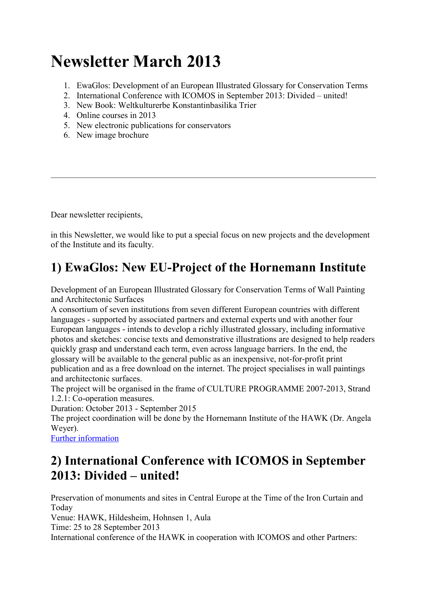# Newsletter March 2013

- 1. EwaGlos: Development of an European Illustrated Glossary for Conservation Terms
- 2. International Conference with ICOMOS in September 2013: Divided united!
- 3. New Book: Weltkulturerbe Konstantinbasilika Trier
- 4. Online courses in 2013
- 5. New electronic publications for conservators
- 6. New image brochure

Dear newsletter recipients,

in this Newsletter, we would like to put a special focus on new projects and the development of the Institute and its faculty.

### 1) EwaGlos: New EU-Project of the Hornemann Institute

Development of an European Illustrated Glossary for Conservation Terms of Wall Painting and Architectonic Surfaces

A consortium of seven institutions from seven different European countries with different languages - supported by associated partners and external experts und with another four European languages - intends to develop a richly illustrated glossary, including informative photos and sketches: concise texts and demonstrative illustrations are designed to help readers quickly grasp and understand each term, even across language barriers. In the end, the glossary will be available to the general public as an inexpensive, not-for-profit print publication and as a free download on the internet. The project specialises in wall paintings and architectonic surfaces.

The project will be organised in the frame of CULTURE PROGRAMME 2007-2013, Strand 1.2.1: Co-operation measures.

Duration: October 2013 - September 2015

The project coordination will be done by the Hornemann Institute of the HAWK (Dr. Angela Wever).

Further information

### 2) International Conference with ICOMOS in September 2013: Divided – united!

Preservation of monuments and sites in Central Europe at the Time of the Iron Curtain and Today

Venue: HAWK, Hildesheim, Hohnsen 1, Aula

Time: 25 to 28 September 2013

International conference of the HAWK in cooperation with ICOMOS and other Partners: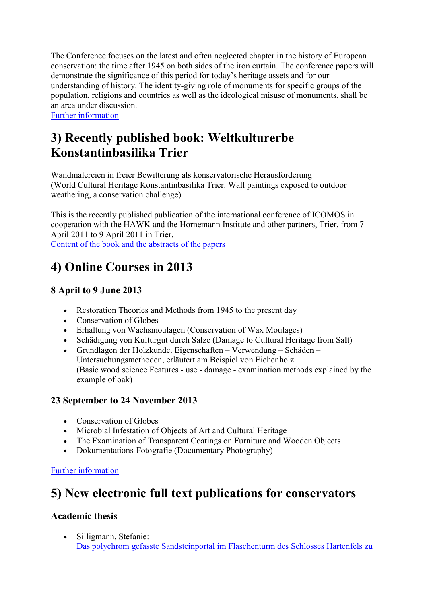The Conference focuses on the latest and often neglected chapter in the history of European conservation: the time after 1945 on both sides of the iron curtain. The conference papers will demonstrate the significance of this period for today's heritage assets and for our understanding of history. The identity-giving role of monuments for specific groups of the population, religions and countries as well as the ideological misuse of monuments, shall be an area under discussion.

Further information

## 3) Recently published book: Weltkulturerbe Konstantinbasilika Trier

Wandmalereien in freier Bewitterung als konservatorische Herausforderung (World Cultural Heritage Konstantinbasilika Trier. Wall paintings exposed to outdoor weathering, a conservation challenge)

This is the recently published publication of the international conference of ICOMOS in cooperation with the HAWK and the Hornemann Institute and other partners, Trier, from 7 April 2011 to 9 April 2011 in Trier.

Content of the book and the abstracts of the papers

# 4) Online Courses in 2013

### 8 April to 9 June 2013

- Restoration Theories and Methods from 1945 to the present day
- Conservation of Globes
- Erhaltung von Wachsmoulagen (Conservation of Wax Moulages)
- Schädigung von Kulturgut durch Salze (Damage to Cultural Heritage from Salt)
- Grundlagen der Holzkunde. Eigenschaften Verwendung Schäden Untersuchungsmethoden, erläutert am Beispiel von Eichenholz (Basic wood science Features - use - damage - examination methods explained by the example of oak)

#### 23 September to 24 November 2013

- Conservation of Globes
- Microbial Infestation of Objects of Art and Cultural Heritage
- The Examination of Transparent Coatings on Furniture and Wooden Objects
- Dokumentations-Fotografie (Documentary Photography)

#### Further information

### 5) New electronic full text publications for conservators

#### Academic thesis

 Silligmann, Stefanie: Das polychrom gefasste Sandsteinportal im Flaschenturm des Schlosses Hartenfels zu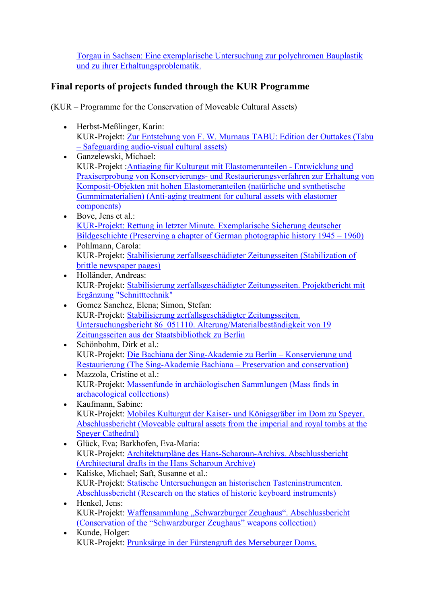Torgau in Sachsen: Eine exemplarische Untersuchung zur polychromen Bauplastik und zu ihrer Erhaltungsproblematik.

### Final reports of projects funded through the KUR Programme

(KUR – Programme for the Conservation of Moveable Cultural Assets)

- Herbst-Meßlinger, Karin: KUR-Projekt: Zur Entstehung von F. W. Murnaus TABU: Edition der Outtakes (Tabu – Safeguarding audio-visual cultural assets)
- Ganzelewski, Michael: KUR-Projekt :Antiaging für Kulturgut mit Elastomeranteilen - Entwicklung und Praxiserprobung von Konservierungs- und Restaurierungsverfahren zur Erhaltung von Komposit-Objekten mit hohen Elastomeranteilen (natürliche und synthetische Gummimaterialien) (Anti-aging treatment for cultural assets with elastomer components)
- Bove, Jens et al.: KUR-Projekt: Rettung in letzter Minute. Exemplarische Sicherung deutscher Bildgeschichte (Preserving a chapter of German photographic history 1945 – 1960)
- Pohlmann, Carola: KUR-Projekt: Stabilisierung zerfallsgeschädigter Zeitungsseiten (Stabilization of brittle newspaper pages)
- Holländer, Andreas: KUR-Projekt: Stabilisierung zerfallsgeschädigter Zeitungsseiten. Projektbericht mit Ergänzung "Schnitttechnik"
- Gomez Sanchez, Elena; Simon, Stefan: KUR-Projekt: Stabilisierung zerfallsgeschädigter Zeitungsseiten. Untersuchungsbericht 86\_051110. Alterung/Materialbeständigkeit von 19 Zeitungsseiten aus der Staatsbibliothek zu Berlin
- Schönbohm, Dirk et al.: KUR-Projekt: Die Bachiana der Sing-Akademie zu Berlin – Konservierung und Restaurierung (The Sing-Akademie Bachiana – Preservation and conservation)
- Mazzola, Cristine et al.: KUR-Projekt: Massenfunde in archäologischen Sammlungen (Mass finds in archaeological collections)
- Kaufmann, Sabine: KUR-Projekt: Mobiles Kulturgut der Kaiser- und Königsgräber im Dom zu Speyer. Abschlussbericht (Moveable cultural assets from the imperial and royal tombs at the Speyer Cathedral)
- Glück, Eva; Barkhofen, Eva-Maria: KUR-Projekt: Architekturpläne des Hans-Scharoun-Archivs. Abschlussbericht (Architectural drafts in the Hans Scharoun Archive)
- Kaliske, Michael; Saft, Susanne et al.: KUR-Projekt: Statische Untersuchungen an historischen Tasteninstrumenten. Abschlussbericht (Research on the statics of historic keyboard instruments)
- Henkel, Jens: KUR-Projekt: Waffensammlung "Schwarzburger Zeughaus". Abschlussbericht (Conservation of the "Schwarzburger Zeughaus" weapons collection)
- Kunde, Holger: KUR-Projekt: Prunksärge in der Fürstengruft des Merseburger Doms.